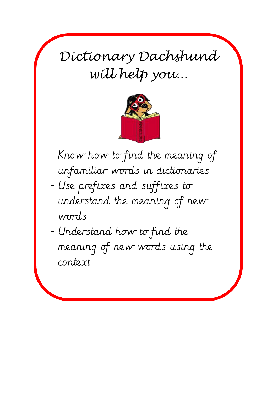*Dictionary Dachshund will help you...*



- Know how to find the meaning of unfamiliar words in dictionaries
- Use prefixes and suffixes to understand the meaning of new words
- Understand how to find the meaning of new words using the context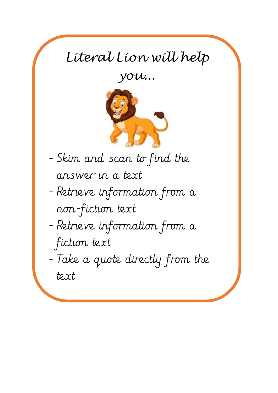## *Literal Lion will help*

*you...*



- Skim and scan to find the answer in a text

- Retrieve information from a non-fiction text
- Retrieve information from a fiction text

- Take a quote directly from the text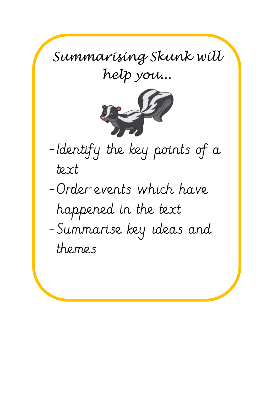*Summarising Skunk will help you...*



-Identify the key points of a text -Order events which have happened in the text -Summarise key ideas and themes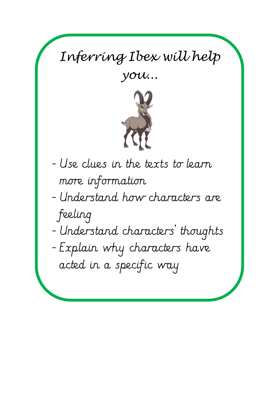## *Inferring Ibex will help*

*you...*



- Use clues in the texts to learn more information

- Understand how characters are feeling
- Understand characters' thoughts
- Explain why characters have acted in a specific way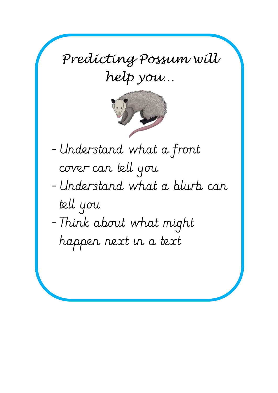*Predicting Possum will help you...*



- Understand what a front cover can tell you
- Understand what a blurb can tell you
- Think about what might happen next in a text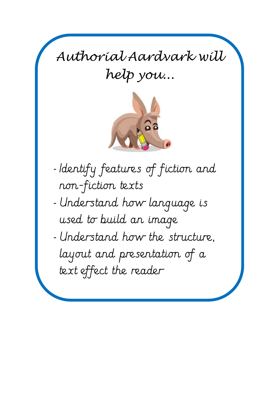*Authorial Aardvark will help you...*



- *-* Identify features of fiction and non-fiction texts
- *-* Understand how language is used to build an image
- *-* Understand how the structure, layout and presentation of a text effect the reader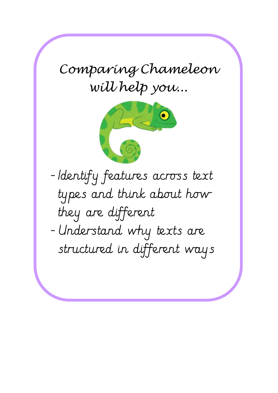*Comparing Chameleon will help you...*



- Identify features across text types and think about how they are different - Understand why texts are structured in different ways